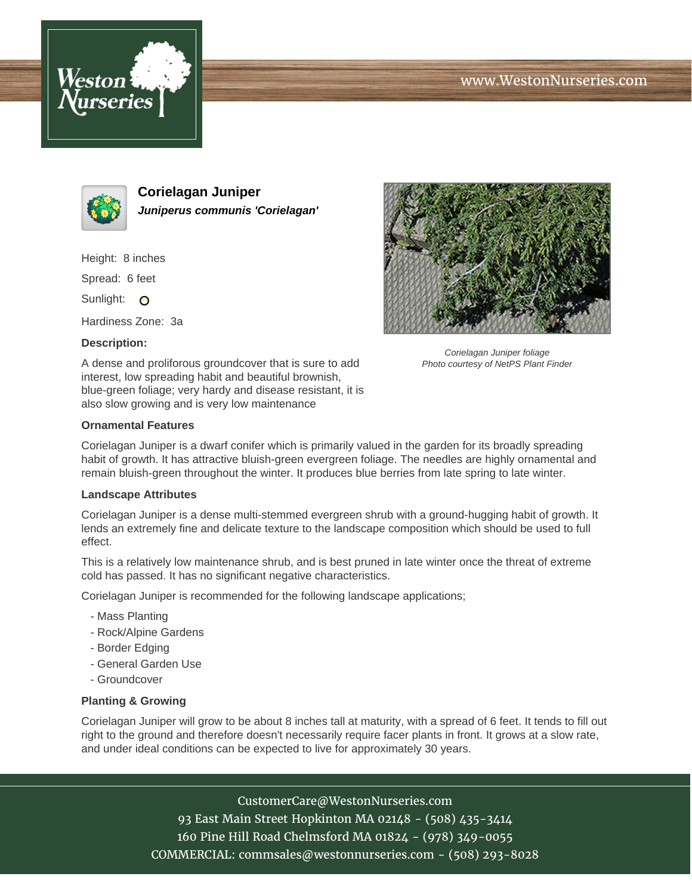





**Corielagan Juniper Juniperus communis 'Corielagan'**

Height: 8 inches

Spread: 6 feet

Sunlight: O

Hardiness Zone: 3a

## **Description:**

A dense and proliforous groundcover that is sure to add interest, low spreading habit and beautiful brownish, blue-green foliage; very hardy and disease resistant, it is also slow growing and is very low maintenance



Corielagan Juniper foliage Photo courtesy of NetPS Plant Finder

## **Ornamental Features**

Corielagan Juniper is a dwarf conifer which is primarily valued in the garden for its broadly spreading habit of growth. It has attractive bluish-green evergreen foliage. The needles are highly ornamental and remain bluish-green throughout the winter. It produces blue berries from late spring to late winter.

## **Landscape Attributes**

Corielagan Juniper is a dense multi-stemmed evergreen shrub with a ground-hugging habit of growth. It lends an extremely fine and delicate texture to the landscape composition which should be used to full effect.

This is a relatively low maintenance shrub, and is best pruned in late winter once the threat of extreme cold has passed. It has no significant negative characteristics.

Corielagan Juniper is recommended for the following landscape applications;

- Mass Planting
- Rock/Alpine Gardens
- Border Edging
- General Garden Use
- Groundcover

## **Planting & Growing**

Corielagan Juniper will grow to be about 8 inches tall at maturity, with a spread of 6 feet. It tends to fill out right to the ground and therefore doesn't necessarily require facer plants in front. It grows at a slow rate, and under ideal conditions can be expected to live for approximately 30 years.

CustomerCare@WestonNurseries.com

93 East Main Street Hopkinton MA 02148 - (508) 435-3414 160 Pine Hill Road Chelmsford MA 01824 - (978) 349-0055 COMMERCIAL: commsales@westonnurseries.com - (508) 293-8028